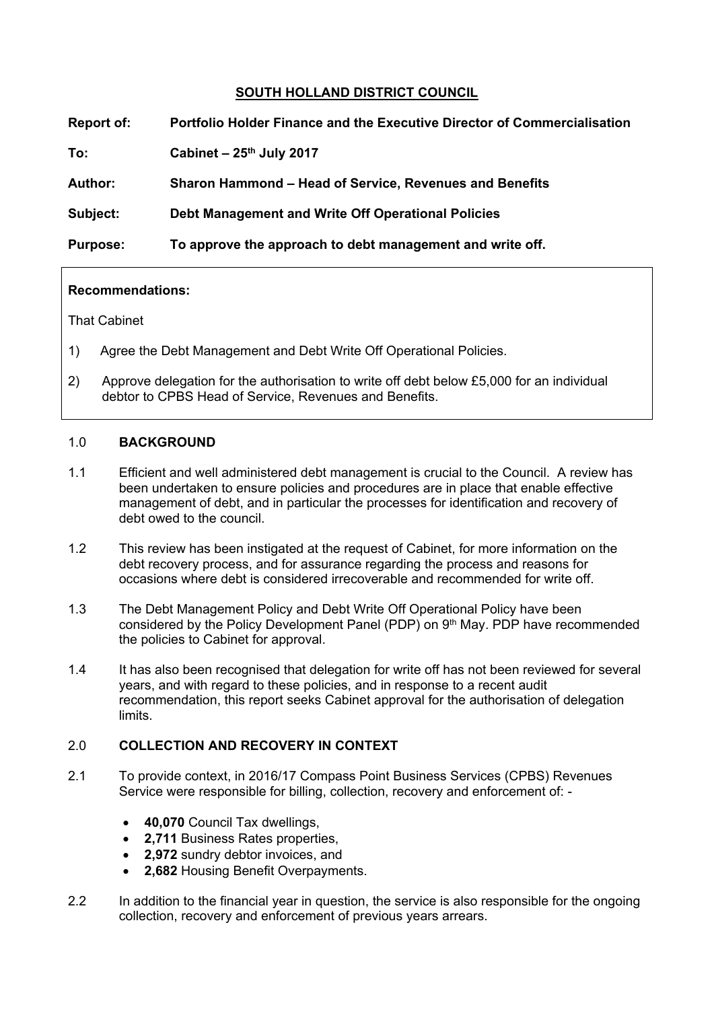## **SOUTH HOLLAND DISTRICT COUNCIL**

| Report of:      | <b>Portfolio Holder Finance and the Executive Director of Commercialisation</b> |
|-----------------|---------------------------------------------------------------------------------|
| To:             | Cabinet $-25$ <sup>th</sup> July 2017                                           |
| <b>Author:</b>  | Sharon Hammond – Head of Service, Revenues and Benefits                         |
| Subject:        | Debt Management and Write Off Operational Policies                              |
| <b>Purpose:</b> | To approve the approach to debt management and write off.                       |

#### **Recommendations:**

That Cabinet

- 1) Agree the Debt Management and Debt Write Off Operational Policies.
- 2) Approve delegation for the authorisation to write off debt below £5,000 for an individual debtor to CPBS Head of Service, Revenues and Benefits.

## 1.0 **BACKGROUND**

- 1.1 Efficient and well administered debt management is crucial to the Council. A review has been undertaken to ensure policies and procedures are in place that enable effective management of debt, and in particular the processes for identification and recovery of debt owed to the council.
- 1.2 This review has been instigated at the request of Cabinet, for more information on the debt recovery process, and for assurance regarding the process and reasons for occasions where debt is considered irrecoverable and recommended for write off.
- 1.3 The Debt Management Policy and Debt Write Off Operational Policy have been considered by the Policy Development Panel (PDP) on 9<sup>th</sup> May. PDP have recommended the policies to Cabinet for approval.
- 1.4 It has also been recognised that delegation for write off has not been reviewed for several years, and with regard to these policies, and in response to a recent audit recommendation, this report seeks Cabinet approval for the authorisation of delegation limits.

## 2.0 **COLLECTION AND RECOVERY IN CONTEXT**

- 2.1 To provide context, in 2016/17 Compass Point Business Services (CPBS) Revenues Service were responsible for billing, collection, recovery and enforcement of: -
	- **40,070** Council Tax dwellings,
	- **2,711** Business Rates properties,
	- **2,972** sundry debtor invoices, and
	- **2,682** Housing Benefit Overpayments.
- 2.2 In addition to the financial year in question, the service is also responsible for the ongoing collection, recovery and enforcement of previous years arrears.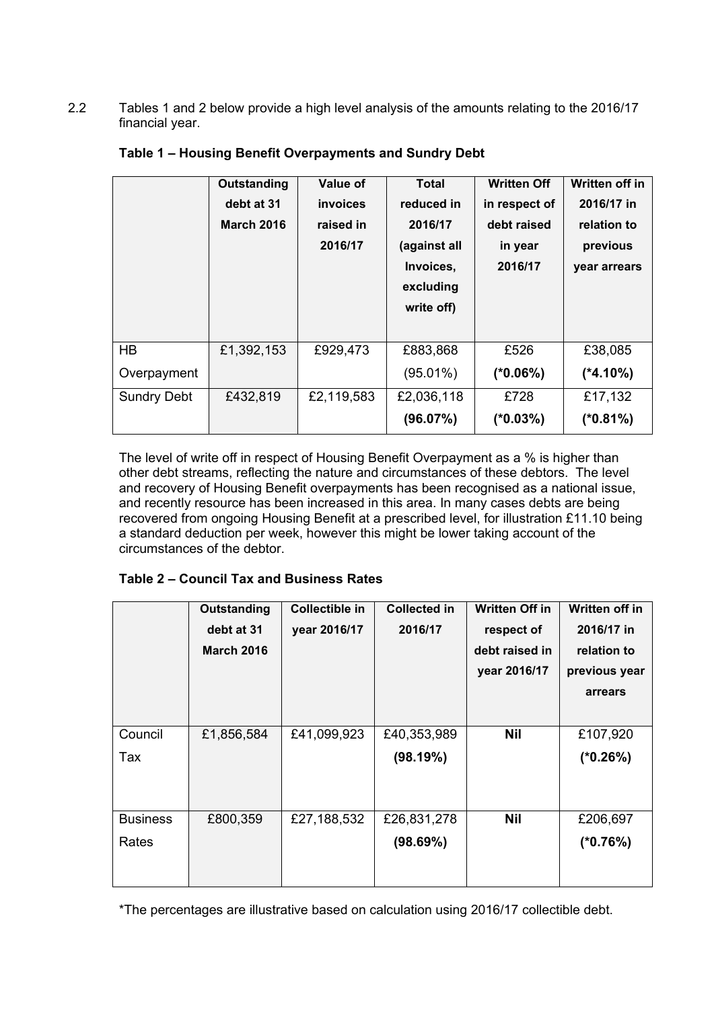2.2 Tables 1 and 2 below provide a high level analysis of the amounts relating to the 2016/17 financial year.

|                    | <b>Outstanding</b><br>debt at 31<br><b>March 2016</b> | <b>Value of</b><br><i>invoices</i><br>raised in<br>2016/17 | Total<br>reduced in<br>2016/17<br>(against all<br>Invoices,<br>excluding<br>write off) | <b>Written Off</b><br>in respect of<br>debt raised<br>in year<br>2016/17 | Written off in<br>2016/17 in<br>relation to<br>previous<br>year arrears |
|--------------------|-------------------------------------------------------|------------------------------------------------------------|----------------------------------------------------------------------------------------|--------------------------------------------------------------------------|-------------------------------------------------------------------------|
| <b>HB</b>          | £1,392,153                                            | £929,473                                                   | £883,868                                                                               | £526                                                                     | £38,085                                                                 |
| Overpayment        |                                                       |                                                            | $(95.01\%)$                                                                            | $(*0.06%)$                                                               | $(*4.10\%)$                                                             |
| <b>Sundry Debt</b> | £432,819                                              | £2,119,583                                                 | £2,036,118                                                                             | £728                                                                     | £17,132                                                                 |
|                    |                                                       |                                                            | (96.07%)                                                                               | $(*0.03%)$                                                               | $(*0.81%)$                                                              |

## **Table 1 – Housing Benefit Overpayments and Sundry Debt**

The level of write off in respect of Housing Benefit Overpayment as a % is higher than other debt streams, reflecting the nature and circumstances of these debtors. The level and recovery of Housing Benefit overpayments has been recognised as a national issue, and recently resource has been increased in this area. In many cases debts are being recovered from ongoing Housing Benefit at a prescribed level, for illustration £11.10 being a standard deduction per week, however this might be lower taking account of the circumstances of the debtor.

# **Table 2 – Council Tax and Business Rates**

|                 | <b>Outstanding</b><br>debt at 31<br><b>March 2016</b> | Collectible in<br>year 2016/17 | <b>Collected in</b><br>2016/17 | <b>Written Off in</b><br>respect of<br>debt raised in<br>year 2016/17 | Written off in<br>2016/17 in<br>relation to<br>previous year<br>arrears |
|-----------------|-------------------------------------------------------|--------------------------------|--------------------------------|-----------------------------------------------------------------------|-------------------------------------------------------------------------|
| Council         | £1,856,584                                            | £41,099,923                    | £40,353,989                    | <b>Nil</b>                                                            | £107,920                                                                |
| Tax             |                                                       |                                | (98.19%)                       |                                                                       | $(*0.26%)$                                                              |
| <b>Business</b> | £800,359                                              | £27,188,532                    | £26,831,278                    | <b>Nil</b>                                                            | £206,697                                                                |
| Rates           |                                                       |                                | (98.69%)                       |                                                                       | $(*0.76%)$                                                              |

\*The percentages are illustrative based on calculation using 2016/17 collectible debt.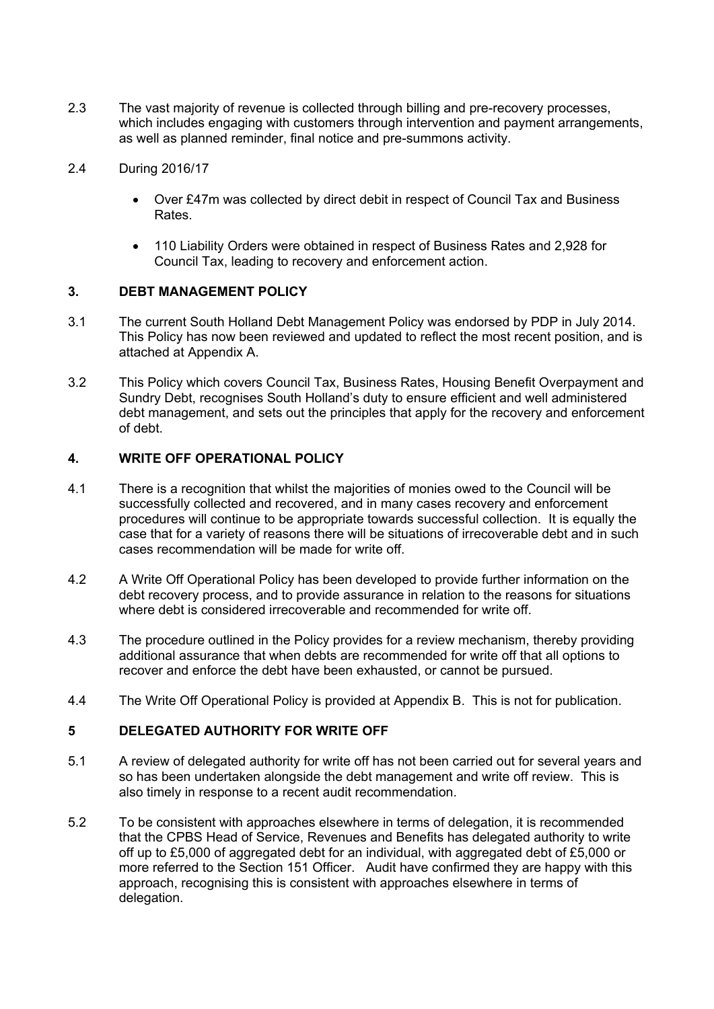2.3 The vast majority of revenue is collected through billing and pre-recovery processes, which includes engaging with customers through intervention and payment arrangements, as well as planned reminder, final notice and pre-summons activity.

## 2.4 During 2016/17

- Over £47m was collected by direct debit in respect of Council Tax and Business Rates.
- 110 Liability Orders were obtained in respect of Business Rates and 2,928 for Council Tax, leading to recovery and enforcement action.

### **3. DEBT MANAGEMENT POLICY**

- 3.1 The current South Holland Debt Management Policy was endorsed by PDP in July 2014. This Policy has now been reviewed and updated to reflect the most recent position, and is attached at Appendix A.
- 3.2 This Policy which covers Council Tax, Business Rates, Housing Benefit Overpayment and Sundry Debt, recognises South Holland's duty to ensure efficient and well administered debt management, and sets out the principles that apply for the recovery and enforcement of debt.

## **4. WRITE OFF OPERATIONAL POLICY**

- 4.1 There is a recognition that whilst the majorities of monies owed to the Council will be successfully collected and recovered, and in many cases recovery and enforcement procedures will continue to be appropriate towards successful collection. It is equally the case that for a variety of reasons there will be situations of irrecoverable debt and in such cases recommendation will be made for write off.
- 4.2 A Write Off Operational Policy has been developed to provide further information on the debt recovery process, and to provide assurance in relation to the reasons for situations where debt is considered irrecoverable and recommended for write off.
- 4.3 The procedure outlined in the Policy provides for a review mechanism, thereby providing additional assurance that when debts are recommended for write off that all options to recover and enforce the debt have been exhausted, or cannot be pursued.
- 4.4 The Write Off Operational Policy is provided at Appendix B. This is not for publication.

# **5 DELEGATED AUTHORITY FOR WRITE OFF**

- 5.1 A review of delegated authority for write off has not been carried out for several years and so has been undertaken alongside the debt management and write off review. This is also timely in response to a recent audit recommendation.
- 5.2 To be consistent with approaches elsewhere in terms of delegation, it is recommended that the CPBS Head of Service, Revenues and Benefits has delegated authority to write off up to £5,000 of aggregated debt for an individual, with aggregated debt of £5,000 or more referred to the Section 151 Officer. Audit have confirmed they are happy with this approach, recognising this is consistent with approaches elsewhere in terms of delegation.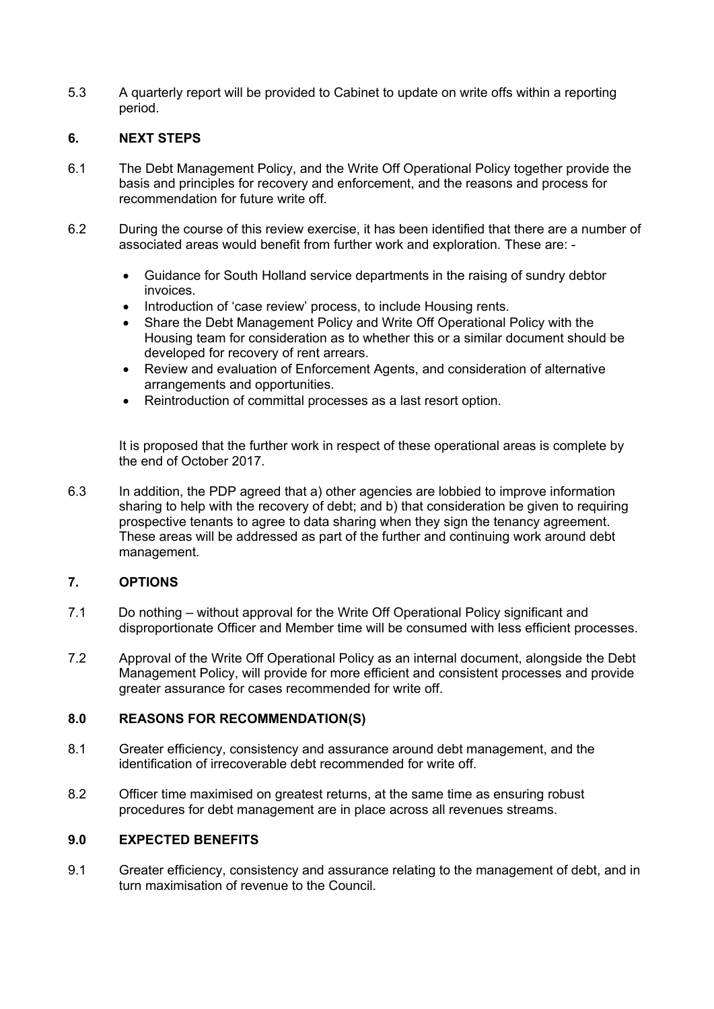5.3 A quarterly report will be provided to Cabinet to update on write offs within a reporting period.

## **6. NEXT STEPS**

- 6.1 The Debt Management Policy, and the Write Off Operational Policy together provide the basis and principles for recovery and enforcement, and the reasons and process for recommendation for future write off.
- 6.2 During the course of this review exercise, it has been identified that there are a number of associated areas would benefit from further work and exploration. These are: -
	- Guidance for South Holland service departments in the raising of sundry debtor invoices.
	- Introduction of 'case review' process, to include Housing rents.
	- Share the Debt Management Policy and Write Off Operational Policy with the Housing team for consideration as to whether this or a similar document should be developed for recovery of rent arrears.
	- Review and evaluation of Enforcement Agents, and consideration of alternative arrangements and opportunities.
	- Reintroduction of committal processes as a last resort option.

It is proposed that the further work in respect of these operational areas is complete by the end of October 2017.

6.3 In addition, the PDP agreed that a) other agencies are lobbied to improve information sharing to help with the recovery of debt; and b) that consideration be given to requiring prospective tenants to agree to data sharing when they sign the tenancy agreement. These areas will be addressed as part of the further and continuing work around debt management.

### **7. OPTIONS**

- 7.1 Do nothing without approval for the Write Off Operational Policy significant and disproportionate Officer and Member time will be consumed with less efficient processes.
- 7.2 Approval of the Write Off Operational Policy as an internal document, alongside the Debt Management Policy, will provide for more efficient and consistent processes and provide greater assurance for cases recommended for write off.

## **8.0 REASONS FOR RECOMMENDATION(S)**

- 8.1 Greater efficiency, consistency and assurance around debt management, and the identification of irrecoverable debt recommended for write off.
- 8.2 Officer time maximised on greatest returns, at the same time as ensuring robust procedures for debt management are in place across all revenues streams.

## **9.0 EXPECTED BENEFITS**

9.1 Greater efficiency, consistency and assurance relating to the management of debt, and in turn maximisation of revenue to the Council.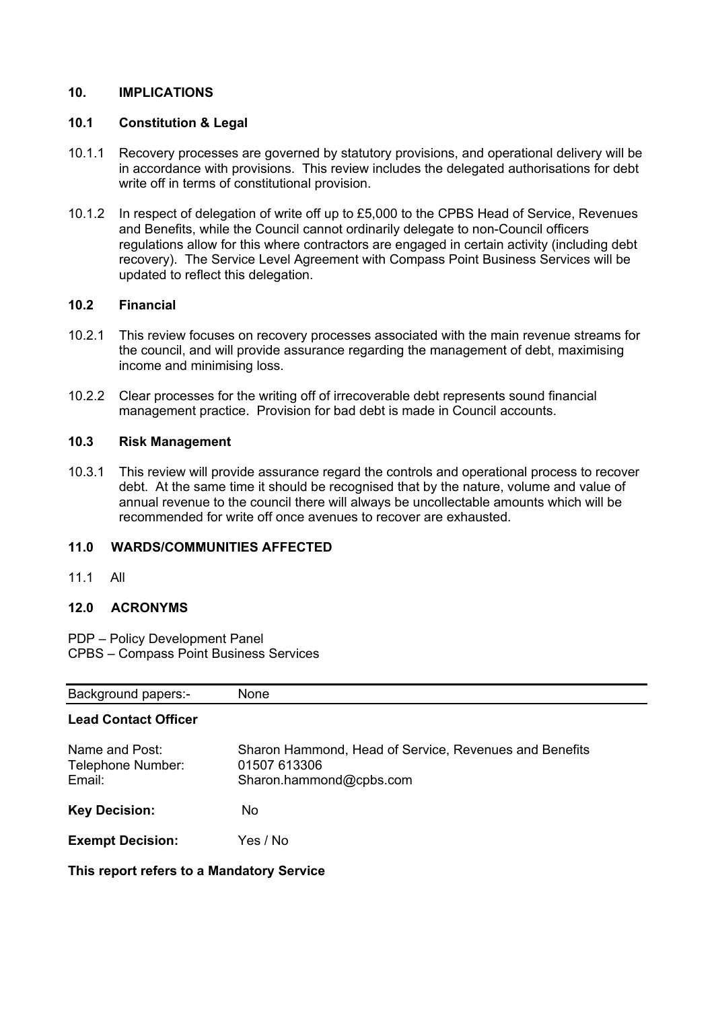## **10. IMPLICATIONS**

### **10.1 Constitution & Legal**

- 10.1.1 Recovery processes are governed by statutory provisions, and operational delivery will be in accordance with provisions. This review includes the delegated authorisations for debt write off in terms of constitutional provision.
- 10.1.2 In respect of delegation of write off up to £5,000 to the CPBS Head of Service, Revenues and Benefits, while the Council cannot ordinarily delegate to non-Council officers regulations allow for this where contractors are engaged in certain activity (including debt recovery). The Service Level Agreement with Compass Point Business Services will be updated to reflect this delegation.

### **10.2 Financial**

- 10.2.1 This review focuses on recovery processes associated with the main revenue streams for the council, and will provide assurance regarding the management of debt, maximising income and minimising loss.
- 10.2.2 Clear processes for the writing off of irrecoverable debt represents sound financial management practice. Provision for bad debt is made in Council accounts.

## **10.3 Risk Management**

10.3.1 This review will provide assurance regard the controls and operational process to recover debt. At the same time it should be recognised that by the nature, volume and value of annual revenue to the council there will always be uncollectable amounts which will be recommended for write off once avenues to recover are exhausted.

# **11.0 WARDS/COMMUNITIES AFFECTED**

11.1 All

# **12.0 ACRONYMS**

PDP – Policy Development Panel CPBS – Compass Point Business Services

| <b>Background papers:-</b>                    | None                                                                                              |
|-----------------------------------------------|---------------------------------------------------------------------------------------------------|
| <b>Lead Contact Officer</b>                   |                                                                                                   |
| Name and Post:<br>Telephone Number:<br>Email: | Sharon Hammond, Head of Service, Revenues and Benefits<br>01507 613306<br>Sharon.hammond@cpbs.com |
| <b>Key Decision:</b>                          | No.                                                                                               |
| <b>Exempt Decision:</b>                       | Yes / No                                                                                          |

**This report refers to a Mandatory Service**